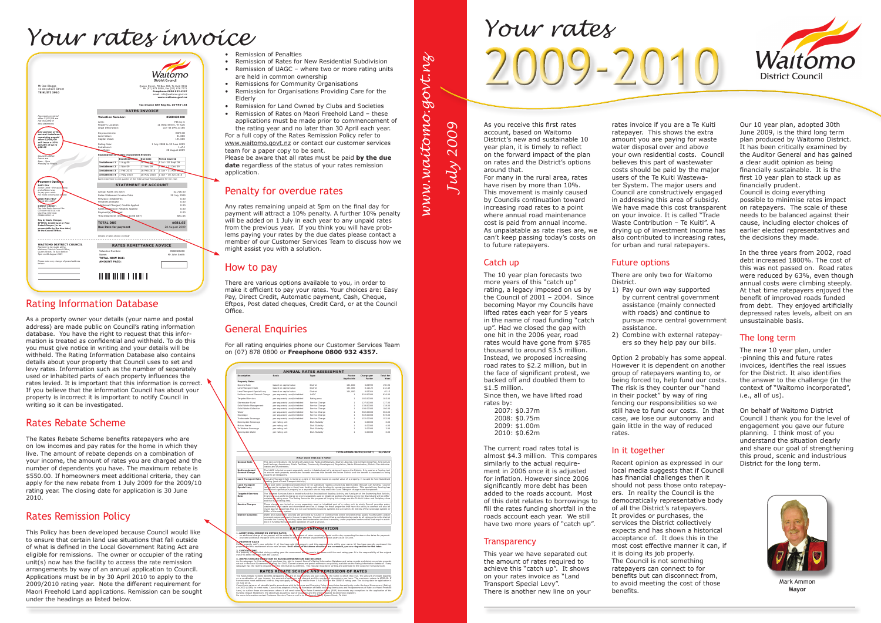As you receive this first rates account, based on Waitomo District's new and sustainable 10 year plan, it is timely to reflect on the forward impact of the plan on rates and the District's options around that.

For many in the rural area, rates have risen by more than 10%. This movement is mainly caused by Councils continuation toward increasing road rates to a point where annual road maintenance cost is paid from annual income. As unpalatable as rate rises are, we can't keep passing today's costs on to future ratepayers.

#### Catch up

The 10 year plan forecasts two more years of this "catch up" rating, a legacy imposed on us by the Council of 2001 – 2004. Since becoming Mayor my Councils have lifted rates each year for 5 years in the name of road funding "catch up". Had we closed the gap with one hit in the 2006 year, road rates would have gone from \$785 thousand to around \$3.5 million. Instead, we proposed increasing road rates to \$2.2 million, but in the face of significant protest, we backed off and doubled them to \$1.5 million. Since then, we have lifted road rates by:

2007: \$0.37m 2008: \$0.75m 2009: \$1.00m 2010: \$0.62m

The current road rates total is almost \$4.3 million. This compares similarly to the actual requirement in 2006 once it is adjusted for inflation. However since 2006 significantly more debt has been added to the roads account. Most of this debt relates to borrowings to fill the rates funding shortfall in the roads account each year. We still have two more years of "catch up".

#### **Transparency**

This year we have separated out the amount of rates required to achieve this "catch up". It shows on your rates invoice as "Land Transport Special Levy". There is another new line on your rates invoice if you are a Te Kuiti ratepayer. This shows the extra amount you are paying for waste water disposal over and above your own residential costs. Council believes this part of wastewater costs should be paid by the major users of the Te Kuiti Wastewater System. The major users and Council are constructively engaged in addressing this area of subsidy. We have made this cost transparent on your invoice. It is called "Trade Waste Contribution – Te Kuiti". A drying up of investment income has also contributed to increasing rates, for urban and rural ratepayers.

#### Future options

There are only two for Waitomo District.

1) Pay our own way supported by current central government assistance (mainly connected with roads) and continue to pursue more central government

2009-2010 *Your rates*

- assistance.
- 

2) Combine with external ratepayers so they help pay our bills.

Option 2 probably has some appeal. However it is dependent on another group of ratepayers wanting to, or being forced to, help fund our costs. The risk is they counter our "hand in their pocket" by way of ring fencing our responsibilities so we still have to fund our costs. In that case, we lose our autonomy and gain little in the way of reduced rates.

#### In it together

Recent opinion as expressed in our local media suggests that if Council has financial challenges then it should not pass those onto ratepayers. In reality the Council is the democratically representative body of all the District's ratepayers. It provides or purchases, the services the District collectively expects and has shown a historical acceptance of. It does this in the most cost effective manner it can, if it is doing its job properly. The Council is not something ratepayers can connect to for benefits but can disconnect from, to avoid meeting the cost of those benefits.



Our 10 year plan, adopted 30th June 2009, is the third long term plan produced by Waitomo District. It has been critically examined by the Auditor General and has gained a clear audit opinion as being financially sustainable. It is the first 10 year plan to stack up as financially prudent. Council is doing everything possible to minimise rates impact on ratepayers. The scale of these

needs to be balanced against their cause, including elector choices of earlier elected representatives and the decisions they made.

In the three years from 2002, road debt increased 1800%. The cost of this was not passed on. Road rates were reduced by 63%, even though annual costs were climbing steeply. At that time ratepayers enjoyed the benefit of improved roads funded from debt. They enjoyed artificially depressed rates levels, albeit on an unsustainable basis.

#### The long term

The new 10 year plan, under -pinning this and future rates invoices, identifies the real issues for the District. It also identifies the answer to the challenge (in the context of "Waitomo incorporated", i.e., all of us).

On behalf of Waitomo District Council I thank you for the level of engagement you gave our future planning. I think most of you understand the situation clearly and share our goal of strengthening this proud, scenic and industrious District for the long term.



Mark Ammon **Mayor**

## *Your rates invoice*



• Remission of Penalties

- Remission of Rates for New Residential Subdivision
- Remission of UAGC where two or more rating units are held in common ownership
- Remissions for Community Organisations
- Remission for Organisations Providing Care for the Elderly
- Remission for Land Owned by Clubs and Societies
- Remission of Rates on Maori Freehold Land these applications must be made prior to commencement of the rating year and no later than 30 April each year.

For a full copy of the Rates Remission Policy refer to www.waitomo.govt.nz or contact our customer services team for a paper copy to be sent.

Please be aware that all rates must be paid **by the due date** regardless of the status of your rates remission application.

#### Penalty for overdue rates

Any rates remaining unpaid at 5pm on the final day for payment will attract a 10% penalty. A further 10% penalty will be added on 1 July in each year to any unpaid rates from the previous year. If you think you will have problems paying your rates by the due dates please contact a member of our Customer Services Team to discuss how we might assist you with a solution.

#### How to pay

There are various options available to you, in order to make it efficient to pay your rates. Your choices are: Easy Pay, Direct Credit, Automatic payment, Cash, Cheque, Eftpos, Post dated cheques, Credit Card, or at the Council Office.

## General Enquiries

For all rating enquiries phone our Customer Services Team on (07) 878 0800 or **Freephone 0800 932 4357.**

## Rating Information Database

As a property owner your details (your name and postal address) are made public on Council's rating information database. You have the right to request that this information is treated as confidential and withheld. To do this you must give notice in writing and your details will be withheld. The Rating Information Database also contains details about your property that Council uses to set and levy rates. Information such as the number of separately used or inhabited parts of each property influences the rates levied. It is important that this information is correct. If you believe that the information Council has about your property is incorrect it is important to notify Council in writing so it can be investigated.

#### Rates Rebate Scheme

The Rates Rebate Scheme benefits ratepayers who are on low incomes and pay rates for the home in which they live. The amount of rebate depends on a combination of your income, the amount of rates you are charged and the number of dependents you have. The maximum rebate is \$550.00. If homeowners meet additional criteria, they can apply for the new rebate from 1 July 2009 for the 2009/10 rating year. The closing date for application is 30 June 2010.

#### Rates Remission Policy

This Policy has been developed because Council would like to ensure that certain land use situations that fall outside of what is defined in the Local Government Rating Act are eligible for remissions. The owner or occupier of the rating unit(s) now has the facility to access the rate remission arrangements by way of an annual application to Council. Applications must be in by 30 April 2010 to apply to the 2009/2010 rating year. Note the different requirement for Maori Freehold Land applications. Remission can be sought under the headings as listed below.

# *www.waitomo.govt.nz*www.waitomo.govt.ng *July 2009*

|                                                                                                                              |                                                                                                                                                                                                                                                                                           | <b>ANNUAL RATES ASSESSMENT</b>                                        |                                                                                                                                                                                                                                                                                                                                                                                                                                                                     |                                      |                      |                                 |  |
|------------------------------------------------------------------------------------------------------------------------------|-------------------------------------------------------------------------------------------------------------------------------------------------------------------------------------------------------------------------------------------------------------------------------------------|-----------------------------------------------------------------------|---------------------------------------------------------------------------------------------------------------------------------------------------------------------------------------------------------------------------------------------------------------------------------------------------------------------------------------------------------------------------------------------------------------------------------------------------------------------|--------------------------------------|----------------------|---------------------------------|--|
| Description                                                                                                                  |                                                                                                                                                                                                                                                                                           | Rasis                                                                 | Type                                                                                                                                                                                                                                                                                                                                                                                                                                                                | Factor<br>Applicable                 | Charge per<br>Factor | <b>Total for</b><br><b>Vonr</b> |  |
| <b>Property Rates</b>                                                                                                        |                                                                                                                                                                                                                                                                                           |                                                                       |                                                                                                                                                                                                                                                                                                                                                                                                                                                                     |                                      |                      |                                 |  |
| General Rate                                                                                                                 |                                                                                                                                                                                                                                                                                           | based on capital value                                                | District                                                                                                                                                                                                                                                                                                                                                                                                                                                            | 191,000                              | 0.09995              | 190.90                          |  |
| Land Transport Rate                                                                                                          |                                                                                                                                                                                                                                                                                           | based on capital value                                                | Dietrice                                                                                                                                                                                                                                                                                                                                                                                                                                                            | 191.000                              | 0.11122              | 212.45                          |  |
| Land Transport Special Levy                                                                                                  |                                                                                                                                                                                                                                                                                           | based on capital value                                                | District                                                                                                                                                                                                                                                                                                                                                                                                                                                            | 191,000                              | 0.02364              | 45.15                           |  |
| Uniform Annual General Charge                                                                                                |                                                                                                                                                                                                                                                                                           | per separately used/inhabited                                         | <b>HAGC</b>                                                                                                                                                                                                                                                                                                                                                                                                                                                         | $\mathbf{1}$                         | 626,00000            | 626.00                          |  |
| <b>Tarneted Services</b>                                                                                                     |                                                                                                                                                                                                                                                                                           | ner senarately used/inhabited                                         | <b>Rating area</b>                                                                                                                                                                                                                                                                                                                                                                                                                                                  | f.                                   | 185,00000            | 185.00                          |  |
| Stormwater Rural                                                                                                             |                                                                                                                                                                                                                                                                                           | per separately used/inhabited                                         | Service Charge                                                                                                                                                                                                                                                                                                                                                                                                                                                      | 1                                    | 127,00000            | 127.00                          |  |
| Solid Waste Management                                                                                                       |                                                                                                                                                                                                                                                                                           | per separately used/inhabited                                         | Service Charge                                                                                                                                                                                                                                                                                                                                                                                                                                                      | $\mathbf{1}$                         | 138,00000            | 138.00                          |  |
| Solid Waste Collection                                                                                                       |                                                                                                                                                                                                                                                                                           | ner senarately used/inhabited                                         | Service Charge                                                                                                                                                                                                                                                                                                                                                                                                                                                      | f.                                   | 100,00000            | 100.00                          |  |
| Water                                                                                                                        |                                                                                                                                                                                                                                                                                           | per separately used/inhabited                                         | Service Charge                                                                                                                                                                                                                                                                                                                                                                                                                                                      | f.                                   | 382,00000            | 382.00                          |  |
| Sewerage                                                                                                                     |                                                                                                                                                                                                                                                                                           | per separately used/inhabited                                         | Service Charge                                                                                                                                                                                                                                                                                                                                                                                                                                                      | f.                                   | 549,00000            | 549.00                          |  |
|                                                                                                                              |                                                                                                                                                                                                                                                                                           |                                                                       | Service Charge                                                                                                                                                                                                                                                                                                                                                                                                                                                      | $\mathbf{1}$                         | 152,00000            | 152.00                          |  |
| Tradewaste Sewerage                                                                                                          |                                                                                                                                                                                                                                                                                           | per separately used/inhabited                                         |                                                                                                                                                                                                                                                                                                                                                                                                                                                                     |                                      |                      |                                 |  |
| Bennevdale Sewerage                                                                                                          |                                                                                                                                                                                                                                                                                           | per rating unit                                                       | Dist. Subsidy                                                                                                                                                                                                                                                                                                                                                                                                                                                       | f.                                   | 6,00000              | 6.00                            |  |
| Mokau Water                                                                                                                  |                                                                                                                                                                                                                                                                                           | per rating unit                                                       | Dist. Subsidy                                                                                                                                                                                                                                                                                                                                                                                                                                                       | $\mathbf{1}$                         | 4.00000              | 4.00                            |  |
| Te Waitere Sewerage                                                                                                          |                                                                                                                                                                                                                                                                                           | per rating unit                                                       | Dist. Subsidy                                                                                                                                                                                                                                                                                                                                                                                                                                                       | f.                                   | 3.00000              | 3.00                            |  |
| Benneydale Water                                                                                                             |                                                                                                                                                                                                                                                                                           | per rating unit                                                       | Dist. Subsidy                                                                                                                                                                                                                                                                                                                                                                                                                                                       | 1                                    | 6.00000              | 6.00                            |  |
|                                                                                                                              |                                                                                                                                                                                                                                                                                           |                                                                       |                                                                                                                                                                                                                                                                                                                                                                                                                                                                     | <b>TOTAL ANNUAL RATES (incl GST)</b> |                      | \$2,726.50                      |  |
|                                                                                                                              |                                                                                                                                                                                                                                                                                           |                                                                       | <b>WHAT DOES THIS RATE FUND?</b>                                                                                                                                                                                                                                                                                                                                                                                                                                    |                                      |                      |                                 |  |
| <b>General Rate</b>                                                                                                          | This rate contributes to the funding of Leadership, Parks and Reserves, District Libraries, District Swimming Pool, Arts Culture<br>and Heritage, Aerodrome, Public Facilities, Community Development, Regulation, Waste Minimisation, District Plan Adminis-<br>tration and Investments. |                                                                       |                                                                                                                                                                                                                                                                                                                                                                                                                                                                     |                                      |                      |                                 |  |
|                                                                                                                              |                                                                                                                                                                                                                                                                                           |                                                                       |                                                                                                                                                                                                                                                                                                                                                                                                                                                                     |                                      |                      |                                 |  |
|                                                                                                                              |                                                                                                                                                                                                                                                                                           |                                                                       | The UAGC is levied on each separately used or inhabited part of a rating unit across the District. It is used as a funding tool<br>to ensure each property contributes towards services that benefit the entire District and the benefit is assessed as being                                                                                                                                                                                                       |                                      |                      |                                 |  |
|                                                                                                                              |                                                                                                                                                                                                                                                                                           | equal to all ratenavers.<br>pading (part of Land Transport Activity). | The Land Transport Rate is levied as a rate in the dollar based on capital value of a property. It is used to fund Subsidised                                                                                                                                                                                                                                                                                                                                       |                                      |                      |                                 |  |
| <b>Uniform Annual</b><br><b>General Charge</b><br><b>Land Transport Rate</b><br><b>Land Transport</b><br><b>Special Levy</b> | Ĭr.<br>heen                                                                                                                                                                                                                                                                               |                                                                       | he past some operational expenditure in the subsidised roading activity has been funded through loan funding. Council<br>has goreed to replace (over time) loan funding with rate funding for operating expenditure. This special Levy funding has<br>evied against your property as a separate rate to help make the Land Transport charge more transparent.                                                                                                       |                                      |                      |                                 |  |
| <b>Targeted Services</b><br>Rate                                                                                             |                                                                                                                                                                                                                                                                                           |                                                                       | The Tangeted Services Rate is levied to fund the Unsubsidised Roading Activity and fund part of the Swimming Pool Activity.<br>It is levicd as a uniform charge on every separately used or inhabited portion of a rating unit in the District and will be differ-<br>entiated by rating area. The Rating Areas for the purpose of levying this charge are the Te Kuiti Urban and Periphery Area and the Rulei Rating Area                                          |                                      |                      |                                 |  |
|                                                                                                                              | These charg                                                                                                                                                                                                                                                                               |                                                                       | pare levied on every separately used or inhabited part of a rating unit to which Council provides water,<br>wastewater, so id waste and stormwater services. A charge for those properties that have the ability to connect will also be<br>levied against properties that are not connected to Council's systems but are within 30 metres of                                                                                                                       |                                      |                      |                                 |  |
| <b>Service Charges</b><br>District Subsidiar                                                                                 | 100m of the wat                                                                                                                                                                                                                                                                           | system.                                                               | Water and wastewater services are provided by Council in communities where environmental, public health/safety and/or                                                                                                                                                                                                                                                                                                                                               |                                      |                      |                                 |  |
|                                                                                                                              |                                                                                                                                                                                                                                                                                           |                                                                       | economic outcomes require it as an imperative. Council resolved that a contribution be made by all rating units in the district one of the district of the district of the district of the district of the district of the dis<br><b>RATING INFORMATION</b>                                                                                                                                                                                                         |                                      |                      |                                 |  |
| 1. ADDITIONAL CHARGE ON UNPAID RATES:                                                                                        |                                                                                                                                                                                                                                                                                           |                                                                       |                                                                                                                                                                                                                                                                                                                                                                                                                                                                     |                                      |                      |                                 |  |
| <b>PROPERTY SALES</b><br>3. SURDIVISIONS                                                                                     |                                                                                                                                                                                                                                                                                           |                                                                       | an additional charge of ten percent will be added to the ansount of rates remaining uspecies on the day succeeding the above due dates for payment.<br>a second additional charge of 10% will be added to rates that remain unpai<br>Please urgently notify your solicitor if: a) You have sold this property and this assessment is still in your name. b) You have recently purchased this property purchased this                                                |                                      |                      |                                 |  |
|                                                                                                                              |                                                                                                                                                                                                                                                                                           |                                                                       | If a property is subclivided during a rating year the assessment deter remain the same until the next rating year. It is the responsibility of the original owner to settle the mags with the Council.                                                                                                                                                                                                                                                              |                                      |                      |                                 |  |
|                                                                                                                              |                                                                                                                                                                                                                                                                                           | 4. INSPECTION AND OBSECTION TO RATING INFORMATION AND RECORDS         | As the ratepayer for this rating unit you have the right to inspect Council's Rating Information Database and rates records and object on certain grounds<br>set out in the Local Government Rating) Act 2002. Owner's mames and                                                                                                                                                                                                                                    |                                      |                      |                                 |  |
|                                                                                                                              |                                                                                                                                                                                                                                                                                           |                                                                       | RATES REBATE SCHEME AND REMISSION OF RATES                                                                                                                                                                                                                                                                                                                                                                                                                          |                                      |                      |                                 |  |
| 30 June 2010.                                                                                                                |                                                                                                                                                                                                                                                                                           |                                                                       | The Rates Rebate Scheme benefits ratepayers who are on low momes and pay rates but the home in which they live. The amount of rebate depends<br>on a combination of your income, the amount of rates you and the grand of depende<br>Cound set mes on all rateate lard in scordance with is Reprus and Franching Policy Family also has authority under the large of the specification of the specification of the specification of the specification of the specif |                                      |                      |                                 |  |